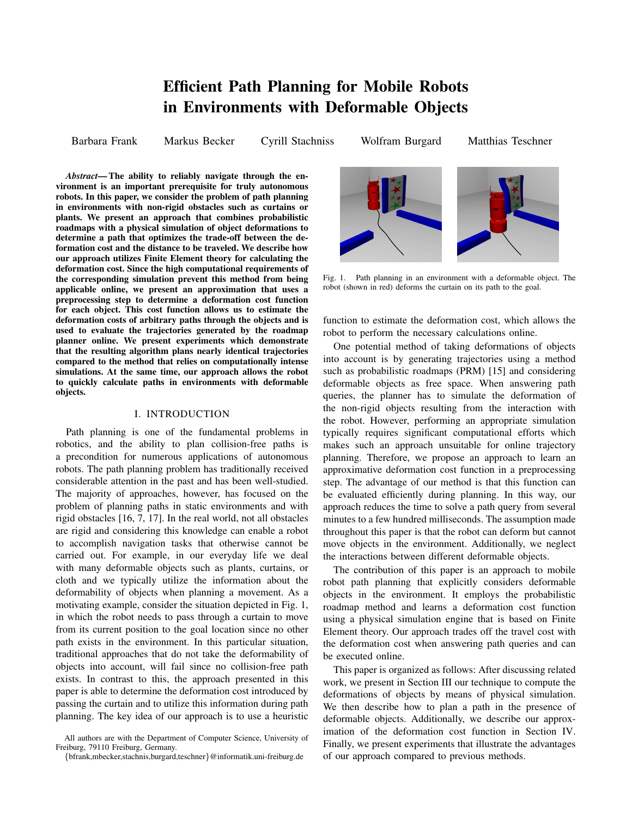# **Efficient Path Planning for Mobile Robots in Environments with Deformable Objects**

Barbara Frank Markus Becker Cyrill Stachniss Wolfram Burgard Matthias Teschner

*Abstract***— The ability to reliably navigate through the environment is an important prerequisite for truly autonomous robots. In this paper, we consider the problem of path planning in environments with non-rigid obstacles such as curtains or plants. We present an approach that combines probabilistic roadmaps with a physical simulation of object deformations to determine a path that optimizes the trade-off between the deformation cost and the distance to be traveled. We describe how our approach utilizes Finite Element theory for calculating the deformation cost. Since the high computational requirements of the corresponding simulation prevent this method from being applicable online, we present an approximation that uses a preprocessing step to determine a deformation cost function for each object. This cost function allows us to estimate the deformation costs of arbitrary paths through the objects and is used to evaluate the trajectories generated by the roadmap planner online. We present experiments which demonstrate that the resulting algorithm plans nearly identical trajectories compared to the method that relies on computationally intense simulations. At the same time, our approach allows the robot to quickly calculate paths in environments with deformable objects.**

### I. INTRODUCTION

Path planning is one of the fundamental problems in robotics, and the ability to plan collision-free paths is a precondition for numerous applications of autonomous robots. The path planning problem has traditionally received considerable attention in the past and has been well-studied. The majority of approaches, however, has focused on the problem of planning paths in static environments and with rigid obstacles [16, 7, 17]. In the real world, not all obstacles are rigid and considering this knowledge can enable a robot to accomplish navigation tasks that otherwise cannot be carried out. For example, in our everyday life we deal with many deformable objects such as plants, curtains, or cloth and we typically utilize the information about the deformability of objects when planning a movement. As a motivating example, consider the situation depicted in Fig. 1, in which the robot needs to pass through a curtain to move from its current position to the goal location since no other path exists in the environment. In this particular situation, traditional approaches that do not take the deformability of objects into account, will fail since no collision-free path exists. In contrast to this, the approach presented in this paper is able to determine the deformation cost introduced by passing the curtain and to utilize this information during path planning. The key idea of our approach is to use a heuristic



Fig. 1. Path planning in an environment with a deformable object. The robot (shown in red) deforms the curtain on its path to the goal.

function to estimate the deformation cost, which allows the robot to perform the necessary calculations online.

One potential method of taking deformations of objects into account is by generating trajectories using a method such as probabilistic roadmaps (PRM) [15] and considering deformable objects as free space. When answering path queries, the planner has to simulate the deformation of the non-rigid objects resulting from the interaction with the robot. However, performing an appropriate simulation typically requires significant computational efforts which makes such an approach unsuitable for online trajectory planning. Therefore, we propose an approach to learn an approximative deformation cost function in a preprocessing step. The advantage of our method is that this function can be evaluated efficiently during planning. In this way, our approach reduces the time to solve a path query from several minutes to a few hundred milliseconds. The assumption made throughout this paper is that the robot can deform but cannot move objects in the environment. Additionally, we neglect the interactions between different deformable objects.

The contribution of this paper is an approach to mobile robot path planning that explicitly considers deformable objects in the environment. It employs the probabilistic roadmap method and learns a deformation cost function using a physical simulation engine that is based on Finite Element theory. Our approach trades off the travel cost with the deformation cost when answering path queries and can be executed online.

This paper is organized as follows: After discussing related work, we present in Section III our technique to compute the deformations of objects by means of physical simulation. We then describe how to plan a path in the presence of deformable objects. Additionally, we describe our approximation of the deformation cost function in Section IV. Finally, we present experiments that illustrate the advantages of our approach compared to previous methods.

All authors are with the Department of Computer Science, University of Freiburg, 79110 Freiburg, Germany.

<sup>{</sup>bfrank,mbecker,stachnis,burgard,teschner}@informatik.uni-freiburg.de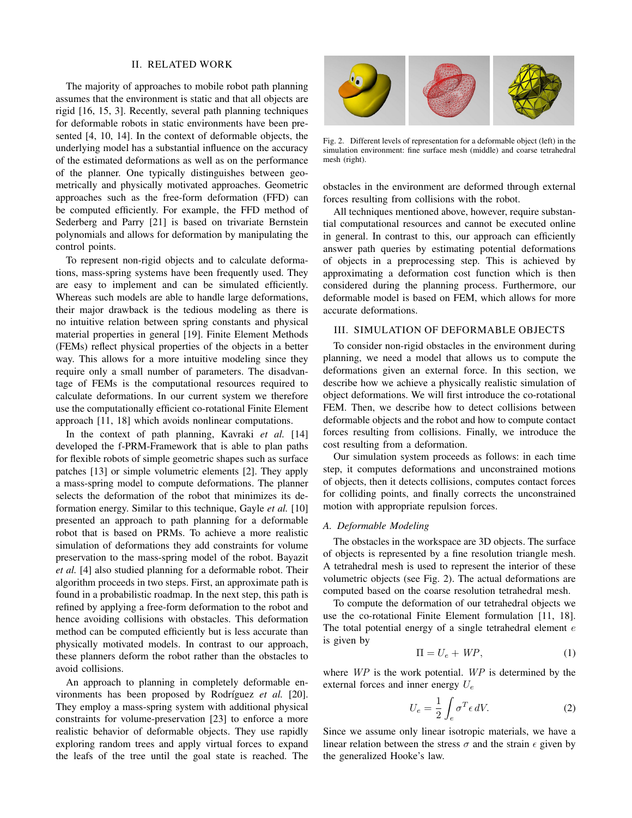#### II. RELATED WORK

The majority of approaches to mobile robot path planning assumes that the environment is static and that all objects are rigid [16, 15, 3]. Recently, several path planning techniques for deformable robots in static environments have been presented [4, 10, 14]. In the context of deformable objects, the underlying model has a substantial influence on the accuracy of the estimated deformations as well as on the performance of the planner. One typically distinguishes between geometrically and physically motivated approaches. Geometric approaches such as the free-form deformation (FFD) can be computed efficiently. For example, the FFD method of Sederberg and Parry [21] is based on trivariate Bernstein polynomials and allows for deformation by manipulating the control points.

To represent non-rigid objects and to calculate deformations, mass-spring systems have been frequently used. They are easy to implement and can be simulated efficiently. Whereas such models are able to handle large deformations, their major drawback is the tedious modeling as there is no intuitive relation between spring constants and physical material properties in general [19]. Finite Element Methods (FEMs) reflect physical properties of the objects in a better way. This allows for a more intuitive modeling since they require only a small number of parameters. The disadvantage of FEMs is the computational resources required to calculate deformations. In our current system we therefore use the computationally efficient co-rotational Finite Element approach [11, 18] which avoids nonlinear computations.

In the context of path planning, Kavraki *et al.* [14] developed the f-PRM-Framework that is able to plan paths for flexible robots of simple geometric shapes such as surface patches [13] or simple volumetric elements [2]. They apply a mass-spring model to compute deformations. The planner selects the deformation of the robot that minimizes its deformation energy. Similar to this technique, Gayle *et al.* [10] presented an approach to path planning for a deformable robot that is based on PRMs. To achieve a more realistic simulation of deformations they add constraints for volume preservation to the mass-spring model of the robot. Bayazit *et al.* [4] also studied planning for a deformable robot. Their algorithm proceeds in two steps. First, an approximate path is found in a probabilistic roadmap. In the next step, this path is refined by applying a free-form deformation to the robot and hence avoiding collisions with obstacles. This deformation method can be computed efficiently but is less accurate than physically motivated models. In contrast to our approach, these planners deform the robot rather than the obstacles to avoid collisions.

An approach to planning in completely deformable environments has been proposed by Rodríguez *et al.* [20]. They employ a mass-spring system with additional physical constraints for volume-preservation [23] to enforce a more realistic behavior of deformable objects. They use rapidly exploring random trees and apply virtual forces to expand the leafs of the tree until the goal state is reached. The



Fig. 2. Different levels of representation for a deformable object (left) in the simulation environment: fine surface mesh (middle) and coarse tetrahedral mesh (right).

obstacles in the environment are deformed through external forces resulting from collisions with the robot.

All techniques mentioned above, however, require substantial computational resources and cannot be executed online in general. In contrast to this, our approach can efficiently answer path queries by estimating potential deformations of objects in a preprocessing step. This is achieved by approximating a deformation cost function which is then considered during the planning process. Furthermore, our deformable model is based on FEM, which allows for more accurate deformations.

# III. SIMULATION OF DEFORMABLE OBJECTS

To consider non-rigid obstacles in the environment during planning, we need a model that allows us to compute the deformations given an external force. In this section, we describe how we achieve a physically realistic simulation of object deformations. We will first introduce the co-rotational FEM. Then, we describe how to detect collisions between deformable objects and the robot and how to compute contact forces resulting from collisions. Finally, we introduce the cost resulting from a deformation.

Our simulation system proceeds as follows: in each time step, it computes deformations and unconstrained motions of objects, then it detects collisions, computes contact forces for colliding points, and finally corrects the unconstrained motion with appropriate repulsion forces.

#### *A. Deformable Modeling*

The obstacles in the workspace are 3D objects. The surface of objects is represented by a fine resolution triangle mesh. A tetrahedral mesh is used to represent the interior of these volumetric objects (see Fig. 2). The actual deformations are computed based on the coarse resolution tetrahedral mesh.

To compute the deformation of our tetrahedral objects we use the co-rotational Finite Element formulation [11, 18]. The total potential energy of a single tetrahedral element  $e$ is given by

$$
\Pi = U_e + \text{WP},\tag{1}
$$

where WP is the work potential. WP is determined by the external forces and inner energy  $U_e$ 

$$
U_e = \frac{1}{2} \int_e \sigma^T \epsilon \, dV. \tag{2}
$$

Since we assume only linear isotropic materials, we have a linear relation between the stress  $\sigma$  and the strain  $\epsilon$  given by the generalized Hooke's law.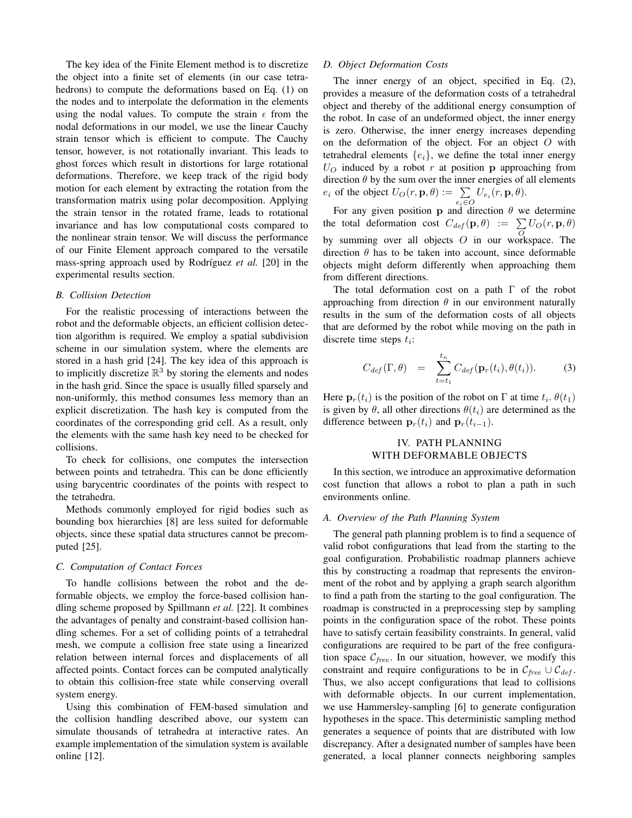The key idea of the Finite Element method is to discretize the object into a finite set of elements (in our case tetrahedrons) to compute the deformations based on Eq. (1) on the nodes and to interpolate the deformation in the elements using the nodal values. To compute the strain  $\epsilon$  from the nodal deformations in our model, we use the linear Cauchy strain tensor which is efficient to compute. The Cauchy tensor, however, is not rotationally invariant. This leads to ghost forces which result in distortions for large rotational deformations. Therefore, we keep track of the rigid body motion for each element by extracting the rotation from the transformation matrix using polar decomposition. Applying the strain tensor in the rotated frame, leads to rotational invariance and has low computational costs compared to the nonlinear strain tensor. We will discuss the performance of our Finite Element approach compared to the versatile mass-spring approach used by Rodríguez *et al.* [20] in the experimental results section.

#### *B. Collision Detection*

For the realistic processing of interactions between the robot and the deformable objects, an efficient collision detection algorithm is required. We employ a spatial subdivision scheme in our simulation system, where the elements are stored in a hash grid [24]. The key idea of this approach is to implicitly discretize  $\mathbb{R}^3$  by storing the elements and nodes in the hash grid. Since the space is usually filled sparsely and non-uniformly, this method consumes less memory than an explicit discretization. The hash key is computed from the coordinates of the corresponding grid cell. As a result, only the elements with the same hash key need to be checked for collisions.

To check for collisions, one computes the intersection between points and tetrahedra. This can be done efficiently using barycentric coordinates of the points with respect to the tetrahedra.

Methods commonly employed for rigid bodies such as bounding box hierarchies [8] are less suited for deformable objects, since these spatial data structures cannot be precomputed [25].

### *C. Computation of Contact Forces*

To handle collisions between the robot and the deformable objects, we employ the force-based collision handling scheme proposed by Spillmann *et al.* [22]. It combines the advantages of penalty and constraint-based collision handling schemes. For a set of colliding points of a tetrahedral mesh, we compute a collision free state using a linearized relation between internal forces and displacements of all affected points. Contact forces can be computed analytically to obtain this collision-free state while conserving overall system energy.

Using this combination of FEM-based simulation and the collision handling described above, our system can simulate thousands of tetrahedra at interactive rates. An example implementation of the simulation system is available online [12].

#### *D. Object Deformation Costs*

The inner energy of an object, specified in Eq. (2), provides a measure of the deformation costs of a tetrahedral object and thereby of the additional energy consumption of the robot. In case of an undeformed object, the inner energy is zero. Otherwise, the inner energy increases depending on the deformation of the object. For an object  $O$  with tetrahedral elements  $\{e_i\}$ , we define the total inner energy  $U_O$  induced by a robot r at position p approaching from direction  $\theta$  by the sum over the inner energies of all elements  $e_i$  of the object  $U_O(r, \mathbf{p}, \theta) := \sum_{e_i \in O} U_{e_i}(r, \mathbf{p}, \theta)$ .

For any given position **p** and direction  $\theta$  we determine the total deformation cost  $C_{def}(\mathbf{p},\theta) := \sum_{Q} U_Q(r, \mathbf{p}, \theta)$ by summing over all objects O in our workspace. The direction  $\theta$  has to be taken into account, since deformable objects might deform differently when approaching them from different directions.

The total deformation cost on a path Γ of the robot approaching from direction  $\theta$  in our environment naturally results in the sum of the deformation costs of all objects that are deformed by the robot while moving on the path in discrete time steps  $t_i$ :

$$
C_{def}(\Gamma, \theta) = \sum_{t=t_1}^{t_n} C_{def}(\mathbf{p}_r(t_i), \theta(t_i)).
$$
 (3)

Here  $\mathbf{p}_r(t_i)$  is the position of the robot on  $\Gamma$  at time  $t_i$ .  $\theta(t_1)$ is given by  $\theta$ , all other directions  $\theta(t_i)$  are determined as the difference between  $\mathbf{p}_r(t_i)$  and  $\mathbf{p}_r(t_{i-1})$ .

# IV. PATH PLANNING WITH DEFORMABLE OBJECTS

In this section, we introduce an approximative deformation cost function that allows a robot to plan a path in such environments online.

### *A. Overview of the Path Planning System*

The general path planning problem is to find a sequence of valid robot configurations that lead from the starting to the goal configuration. Probabilistic roadmap planners achieve this by constructing a roadmap that represents the environment of the robot and by applying a graph search algorithm to find a path from the starting to the goal configuration. The roadmap is constructed in a preprocessing step by sampling points in the configuration space of the robot. These points have to satisfy certain feasibility constraints. In general, valid configurations are required to be part of the free configuration space  $C_{free}$ . In our situation, however, we modify this constraint and require configurations to be in  $\mathcal{C}_{free} \cup \mathcal{C}_{def}$ . Thus, we also accept configurations that lead to collisions with deformable objects. In our current implementation, we use Hammersley-sampling [6] to generate configuration hypotheses in the space. This deterministic sampling method generates a sequence of points that are distributed with low discrepancy. After a designated number of samples have been generated, a local planner connects neighboring samples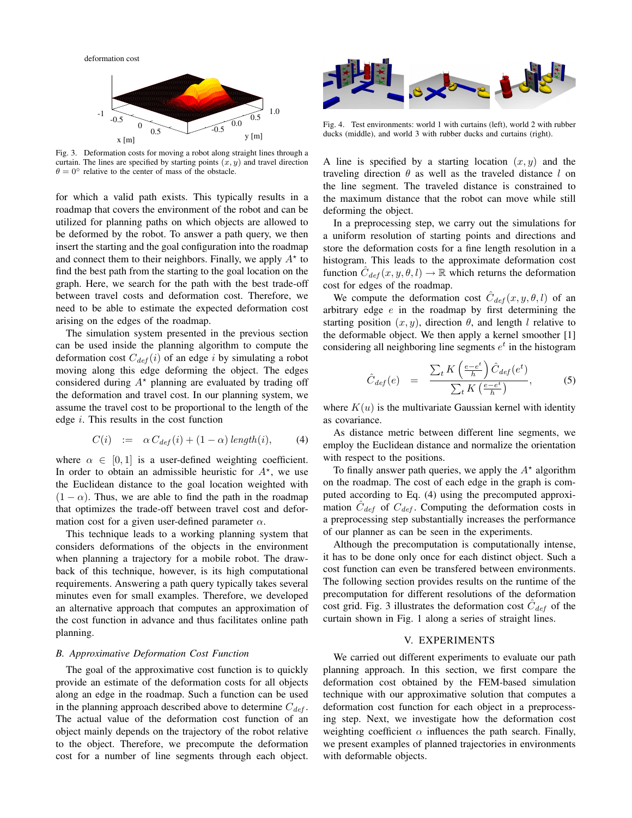deformation cost



Fig. 3. Deformation costs for moving a robot along straight lines through a curtain. The lines are specified by starting points  $(x, y)$  and travel direction  $\theta = 0^\circ$  relative to the center of mass of the obstacle.

for which a valid path exists. This typically results in a roadmap that covers the environment of the robot and can be utilized for planning paths on which objects are allowed to be deformed by the robot. To answer a path query, we then insert the starting and the goal configuration into the roadmap and connect them to their neighbors. Finally, we apply  $A^*$  to find the best path from the starting to the goal location on the graph. Here, we search for the path with the best trade-off between travel costs and deformation cost. Therefore, we need to be able to estimate the expected deformation cost arising on the edges of the roadmap.

The simulation system presented in the previous section can be used inside the planning algorithm to compute the deformation cost  $C_{def}(i)$  of an edge i by simulating a robot moving along this edge deforming the object. The edges considered during  $A^*$  planning are evaluated by trading off the deformation and travel cost. In our planning system, we assume the travel cost to be proportional to the length of the edge  $i$ . This results in the cost function

$$
C(i) := \alpha C_{def}(i) + (1 - \alpha) \operatorname{length}(i), \qquad (4)
$$

where  $\alpha \in [0, 1]$  is a user-defined weighting coefficient. In order to obtain an admissible heuristic for  $A^*$ , we use the Euclidean distance to the goal location weighted with  $(1 - \alpha)$ . Thus, we are able to find the path in the roadmap that optimizes the trade-off between travel cost and deformation cost for a given user-defined parameter  $\alpha$ .

This technique leads to a working planning system that considers deformations of the objects in the environment when planning a trajectory for a mobile robot. The drawback of this technique, however, is its high computational requirements. Answering a path query typically takes several minutes even for small examples. Therefore, we developed an alternative approach that computes an approximation of the cost function in advance and thus facilitates online path planning.

#### *B. Approximative Deformation Cost Function*

The goal of the approximative cost function is to quickly provide an estimate of the deformation costs for all objects along an edge in the roadmap. Such a function can be used in the planning approach described above to determine  $C_{def}$ . The actual value of the deformation cost function of an object mainly depends on the trajectory of the robot relative to the object. Therefore, we precompute the deformation cost for a number of line segments through each object.



Fig. 4. Test environments: world 1 with curtains (left), world 2 with rubber ducks (middle), and world 3 with rubber ducks and curtains (right).

A line is specified by a starting location  $(x, y)$  and the traveling direction  $\theta$  as well as the traveled distance l on the line segment. The traveled distance is constrained to the maximum distance that the robot can move while still deforming the object.

In a preprocessing step, we carry out the simulations for a uniform resolution of starting points and directions and store the deformation costs for a fine length resolution in a histogram. This leads to the approximate deformation cost function  $\hat{C}_{def}(x, y, \theta, l) \to \mathbb{R}$  which returns the deformation cost for edges of the roadmap.

We compute the deformation cost  $\hat{C}_{def}(x, y, \theta, l)$  of an arbitrary edge  $e$  in the roadmap by first determining the starting position  $(x, y)$ , direction  $\theta$ , and length l relative to the deformable object. We then apply a kernel smoother [1] considering all neighboring line segments  $e^t$  in the histogram

$$
\hat{C}_{def}(e) = \frac{\sum_{t} K\left(\frac{e-e^{t}}{h}\right) \hat{C}_{def}(e^{t})}{\sum_{t} K\left(\frac{e-e^{t}}{h}\right)},
$$
\n(5)

where  $K(u)$  is the multivariate Gaussian kernel with identity as covariance.

As distance metric between different line segments, we employ the Euclidean distance and normalize the orientation with respect to the positions.

To finally answer path queries, we apply the  $A^*$  algorithm on the roadmap. The cost of each edge in the graph is computed according to Eq. (4) using the precomputed approximation  $\hat{C}_{def}$  of  $C_{def}$ . Computing the deformation costs in a preprocessing step substantially increases the performance of our planner as can be seen in the experiments.

Although the precomputation is computationally intense, it has to be done only once for each distinct object. Such a cost function can even be transfered between environments. The following section provides results on the runtime of the precomputation for different resolutions of the deformation cost grid. Fig. 3 illustrates the deformation cost  $\hat{C}_{def}$  of the curtain shown in Fig. 1 along a series of straight lines.

#### V. EXPERIMENTS

We carried out different experiments to evaluate our path planning approach. In this section, we first compare the deformation cost obtained by the FEM-based simulation technique with our approximative solution that computes a deformation cost function for each object in a preprocessing step. Next, we investigate how the deformation cost weighting coefficient  $\alpha$  influences the path search. Finally, we present examples of planned trajectories in environments with deformable objects.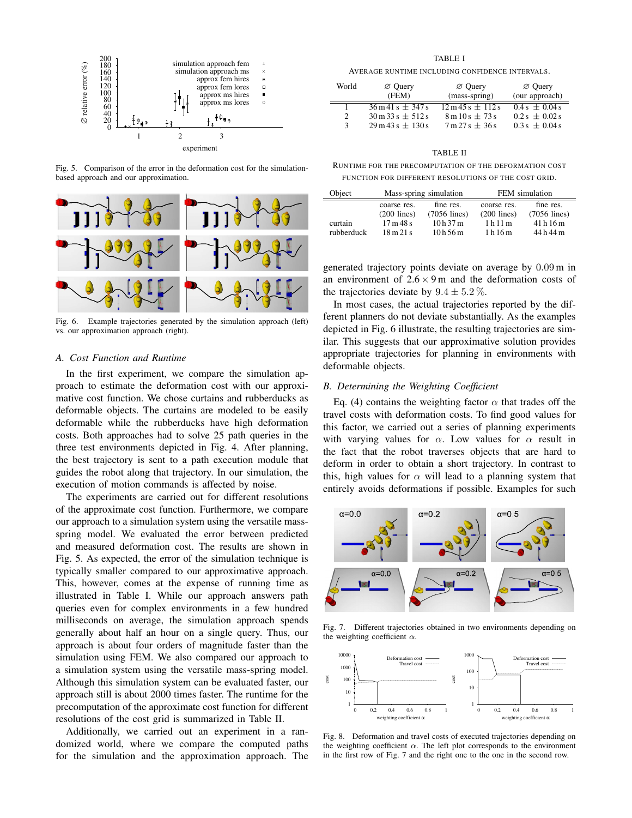

Fig. 5. Comparison of the error in the deformation cost for the simulationbased approach and our approximation.



Fig. 6. Example trajectories generated by the simulation approach (left) vs. our approximation approach (right).

## *A. Cost Function and Runtime*

In the first experiment, we compare the simulation approach to estimate the deformation cost with our approximative cost function. We chose curtains and rubberducks as deformable objects. The curtains are modeled to be easily deformable while the rubberducks have high deformation costs. Both approaches had to solve 25 path queries in the three test environments depicted in Fig. 4. After planning, the best trajectory is sent to a path execution module that guides the robot along that trajectory. In our simulation, the execution of motion commands is affected by noise.

The experiments are carried out for different resolutions of the approximate cost function. Furthermore, we compare our approach to a simulation system using the versatile massspring model. We evaluated the error between predicted and measured deformation cost. The results are shown in Fig. 5. As expected, the error of the simulation technique is typically smaller compared to our approximative approach. This, however, comes at the expense of running time as illustrated in Table I. While our approach answers path queries even for complex environments in a few hundred milliseconds on average, the simulation approach spends generally about half an hour on a single query. Thus, our approach is about four orders of magnitude faster than the simulation using FEM. We also compared our approach to a simulation system using the versatile mass-spring model. Although this simulation system can be evaluated faster, our approach still is about 2000 times faster. The runtime for the precomputation of the approximate cost function for different resolutions of the cost grid is summarized in Table II.

Additionally, we carried out an experiment in a randomized world, where we compare the computed paths for the simulation and the approximation approach. The

TABLE I

AVERAGE RUNTIME INCLUDING CONFIDENCE INTERVALS.

| World | $\varnothing$ Ouery<br>(FEM)                  | $\varnothing$ Ouery<br>(mass-spring)            | $\varnothing$ Ouery<br>(our approach) |
|-------|-----------------------------------------------|-------------------------------------------------|---------------------------------------|
|       | $36 \text{ m } 41 \text{ s } + 347 \text{ s}$ | $12 \text{ m } 45 \text{ s } \pm 112 \text{ s}$ | $0.4s + 0.04s$                        |
| 2     | $30 \text{ m}$ 33 s $\pm$ 512 s               | $8 \text{ m} 10 \text{ s} \pm 73 \text{ s}$     | $0.2s + 0.02s$                        |
| 3     | $29 \text{ m} 43 \text{ s} \pm 130 \text{ s}$ | $7 \text{ m} 27 \text{ s} \pm 36 \text{ s}$     | $0.3 s + 0.04 s$                      |

#### TABLE II

RUNTIME FOR THE PRECOMPUTATION OF THE DEFORMATION COST FUNCTION FOR DIFFERENT RESOLUTIONS OF THE COST GRID.

| Object     | Mass-spring simulation      |                | FEM simulation |                |
|------------|-----------------------------|----------------|----------------|----------------|
|            | coarse res.                 | fine res.      | coarse res.    | fine res.      |
|            | $(200$ lines)               | $(7056$ lines) | $(200$ lines)  | $(7056$ lines) |
| curtain    | 17m48s                      | 10h37m         | 1h11m          | 41h16m         |
| rubberduck | $18 \text{ m} 21 \text{ s}$ | 10h56m         | 1 h 16 m       | 44 h 44 m      |

generated trajectory points deviate on average by 0.09 m in an environment of  $2.6 \times 9$  m and the deformation costs of the trajectories deviate by  $9.4 \pm 5.2\%$ .

In most cases, the actual trajectories reported by the different planners do not deviate substantially. As the examples depicted in Fig. 6 illustrate, the resulting trajectories are similar. This suggests that our approximative solution provides appropriate trajectories for planning in environments with deformable objects.

#### *B. Determining the Weighting Coefficient*

Eq. (4) contains the weighting factor  $\alpha$  that trades off the travel costs with deformation costs. To find good values for this factor, we carried out a series of planning experiments with varying values for  $\alpha$ . Low values for  $\alpha$  result in the fact that the robot traverses objects that are hard to deform in order to obtain a short trajectory. In contrast to this, high values for  $\alpha$  will lead to a planning system that entirely avoids deformations if possible. Examples for such



Fig. 7. Different trajectories obtained in two environments depending on the weighting coefficient  $\alpha$ .



Fig. 8. Deformation and travel costs of executed trajectories depending on the weighting coefficient  $\alpha$ . The left plot corresponds to the environment in the first row of Fig. 7 and the right one to the one in the second row.